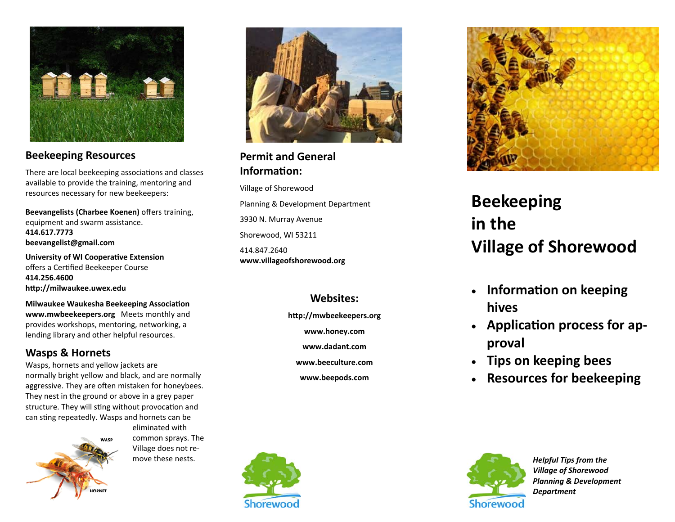

## **Beekeeping Resources**

There are local beekeeping associations and classes available to provide the training, mentoring and resources necessary for new beekeepers:

**Beevangelists (Charbee Koenen)** <sup>o</sup>ffers training, equipment and swarm assistance. **414.617.7773beevangelist@gmail.com**

**University of WI Coopera Ɵve Extension** offers a Cer Ɵfied Beekeeper Course **414.256.4600hƩp://milwaukee.uwex.edu**

**Milwaukee Waukesha Beekeeping Associa Ɵon www.mwbeekeepers.org** Meets monthly and provides workshops, mentoring, networking, a lending library and other helpful resources.

### **Wasps & Hornets**

Wasps, hornets and yellow jackets are normally bright yellow and black, and are normally aggressive. They are often mistaken for honeybees. They nest in the ground or above in a grey paper structure. They will sting without provocation and can sting repeatedly. Wasps and hornets can be



eliminated with common sprays. The Village does not remove these nests.



# **Permit and General InformaƟon:**

Village of Shorewood Planning & Development Department 3930 N. Murray Avenue Shorewood, WI 53211 414.847.2640 **www.villageofshorewood.org**

## **Websites:**

- **hƩp://mwbeekeepers.org**
	- **www.honey.com**
	- **www.dadant.com**
	- **www.beeculture.com**
	- **www.beepods.com**





**Beekeeping in the Village of Shorewood**

- **InformaƟon on keeping hives**
- **Applica Ɵon process for approval**
- **Tips on keeping bees**
- **Resources for beekeeping**



*Helpful Tips from the Village of Shorewood Planning & Development Department*